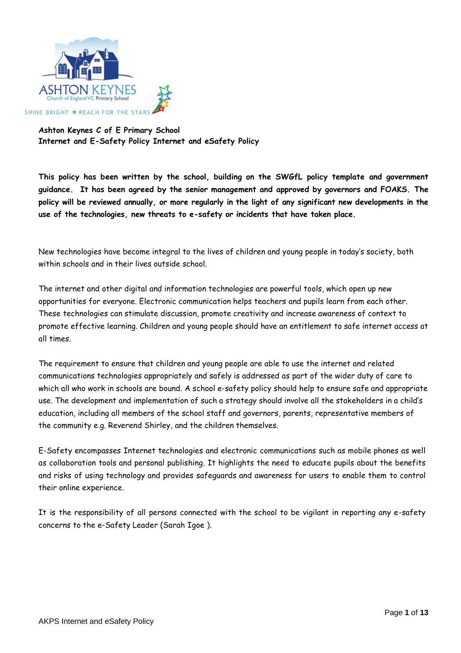

**Ashton Keynes C of E Primary School Internet and E-Safety Policy Internet and eSafety Policy**

**This policy has been written by the school, building on the SWGfL policy template and government guidance. It has been agreed by the senior management and approved by governors and FOAKS. The policy will be reviewed annually, or more regularly in the light of any significant new developments in the use of the technologies, new threats to e-safety or incidents that have taken place.**

New technologies have become integral to the lives of children and young people in today's society, both within schools and in their lives outside school.

The internet and other digital and information technologies are powerful tools, which open up new opportunities for everyone. Electronic communication helps teachers and pupils learn from each other. These technologies can stimulate discussion, promote creativity and increase awareness of context to promote effective learning. Children and young people should have an entitlement to safe internet access at all times.

The requirement to ensure that children and young people are able to use the internet and related communications technologies appropriately and safely is addressed as part of the wider duty of care to which all who work in schools are bound. A school e-safety policy should help to ensure safe and appropriate use. The development and implementation of such a strategy should involve all the stakeholders in a child's education, including all members of the school staff and governors, parents, representative members of the community e.g. Reverend Shirley, and the children themselves.

E-Safety encompasses Internet technologies and electronic communications such as mobile phones as well as collaboration tools and personal publishing. It highlights the need to educate pupils about the benefits and risks of using technology and provides safeguards and awareness for users to enable them to control their online experience.

It is the responsibility of all persons connected with the school to be vigilant in reporting any e-safety concerns to the e-Safety Leader (Sarah Igoe ).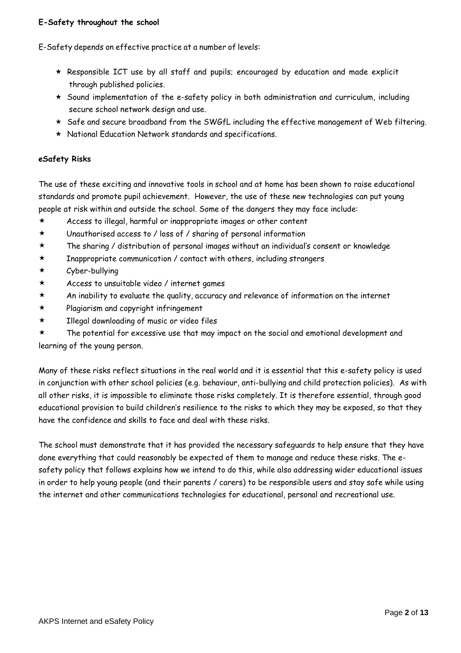# **E-Safety throughout the school**

E-Safety depends on effective practice at a number of levels:

- $\star$  Responsible ICT use by all staff and pupils; encouraged by education and made explicit through published policies.
- $\star$  Sound implementation of the e-safety policy in both administration and curriculum, including secure school network design and use.
- $\star$  Safe and secure broadband from the SWGfL including the effective management of Web filtering.
- National Education Network standards and specifications.

# **eSafety Risks**

The use of these exciting and innovative tools in school and at home has been shown to raise educational standards and promote pupil achievement. However, the use of these new technologies can put young people at risk within and outside the school. Some of the dangers they may face include:

- Access to illegal, harmful or inappropriate images or other content
- $\star$  Unauthorised access to / loss of / sharing of personal information
- $\star$  The sharing / distribution of personal images without an individual's consent or knowledge
- $\star$  Inappropriate communication / contact with others, including strangers
- $\star$  Cyber-bullying
- $\star$  Access to unsuitable video / internet games
- $\star$  An inability to evaluate the quality, accuracy and relevance of information on the internet
- $\star$  Plagiarism and copyright infringement
- $\star$  Illegal downloading of music or video files

 $\star$  The potential for excessive use that may impact on the social and emotional development and learning of the young person.

Many of these risks reflect situations in the real world and it is essential that this e-safety policy is used in conjunction with other school policies (e.g. behaviour, anti-bullying and child protection policies). As with all other risks, it is impossible to eliminate those risks completely. It is therefore essential, through good educational provision to build children's resilience to the risks to which they may be exposed, so that they have the confidence and skills to face and deal with these risks.

The school must demonstrate that it has provided the necessary safeguards to help ensure that they have done everything that could reasonably be expected of them to manage and reduce these risks. The esafety policy that follows explains how we intend to do this, while also addressing wider educational issues in order to help young people (and their parents / carers) to be responsible users and stay safe while using the internet and other communications technologies for educational, personal and recreational use.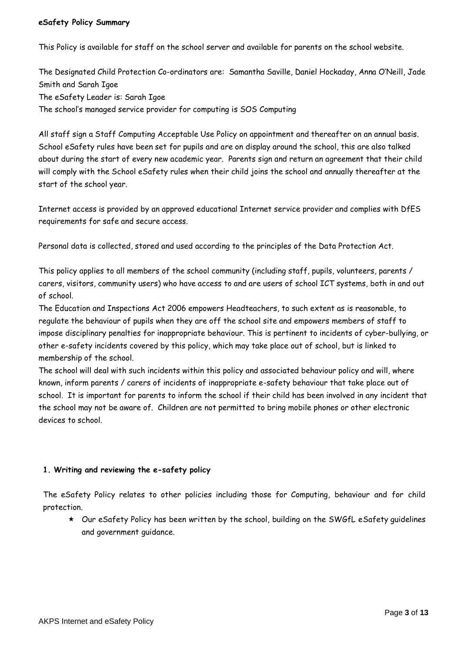# **eSafety Policy Summary**

This Policy is available for staff on the school server and available for parents on the school website.

The Designated Child Protection Co-ordinators are: Samantha Saville, Daniel Hockaday, Anna O'Neill, Jade Smith and Sarah Igoe The eSafety Leader is: Sarah Igoe The school's managed service provider for computing is SOS Computing

All staff sign a Staff Computing Acceptable Use Policy on appointment and thereafter on an annual basis. School eSafety rules have been set for pupils and are on display around the school, this are also talked about during the start of every new academic year. Parents sign and return an agreement that their child will comply with the School eSafety rules when their child joins the school and annually thereafter at the start of the school year.

Internet access is provided by an approved educational Internet service provider and complies with DfES requirements for safe and secure access.

Personal data is collected, stored and used according to the principles of the Data Protection Act.

This policy applies to all members of the school community (including staff, pupils, volunteers, parents / carers, visitors, community users) who have access to and are users of school ICT systems, both in and out of school.

The Education and Inspections Act 2006 empowers Headteachers, to such extent as is reasonable, to regulate the behaviour of pupils when they are off the school site and empowers members of staff to impose disciplinary penalties for inappropriate behaviour. This is pertinent to incidents of cyber-bullying, or other e-safety incidents covered by this policy, which may take place out of school, but is linked to membership of the school.

The school will deal with such incidents within this policy and associated behaviour policy and will, where known, inform parents / carers of incidents of inappropriate e-safety behaviour that take place out of school. It is important for parents to inform the school if their child has been involved in any incident that the school may not be aware of. Children are not permitted to bring mobile phones or other electronic devices to school.

# **1. Writing and reviewing the e-safety policy**

The eSafety Policy relates to other policies including those for Computing, behaviour and for child protection.

 $\star$  Our eSafety Policy has been written by the school, building on the SWGfL eSafety guidelines and government guidance.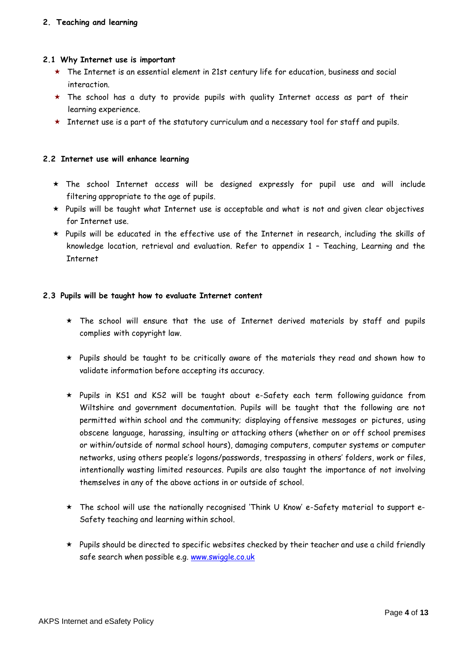## **2. Teaching and learning**

### **2.1 Why Internet use is important**

- The Internet is an essential element in 21st century life for education, business and social interaction.
- $\star$  The school has a duty to provide pupils with quality Internet access as part of their learning experience.
- $\star$  Internet use is a part of the statutory curriculum and a necessary tool for staff and pupils.

## **2.2 Internet use will enhance learning**

- $\star$  The school Internet access will be designed expressly for pupil use and will include filtering appropriate to the age of pupils.
- $\star$  Pupils will be taught what Internet use is acceptable and what is not and given clear objectives for Internet use.
- $\star$  Pupils will be educated in the effective use of the Internet in research, including the skills of knowledge location, retrieval and evaluation. Refer to appendix 1 – Teaching, Learning and the Internet

## **2.3 Pupils will be taught how to evaluate Internet content**

- $\star$  The school will ensure that the use of Internet derived materials by staff and pupils complies with copyright law.
- $\star$  Pupils should be taught to be critically aware of the materials they read and shown how to validate information before accepting its accuracy.
- $\star$  Pupils in KS1 and KS2 will be taught about e-Safety each term following quidance from Wiltshire and government documentation. Pupils will be taught that the following are not permitted within school and the community; displaying offensive messages or pictures, using obscene language, harassing, insulting or attacking others (whether on or off school premises or within/outside of normal school hours), damaging computers, computer systems or computer networks, using others people's logons/passwords, trespassing in others' folders, work or files, intentionally wasting limited resources. Pupils are also taught the importance of not involving themselves in any of the above actions in or outside of school.
- $\star$  The school will use the nationally recognised 'Think U Know' e-Safety material to support e-Safety teaching and learning within school.
- $\star$  Pupils should be directed to specific websites checked by their teacher and use a child friendly safe search when possible e.g. [www.swiggle.co.uk](http://www.swiggle.co.uk/)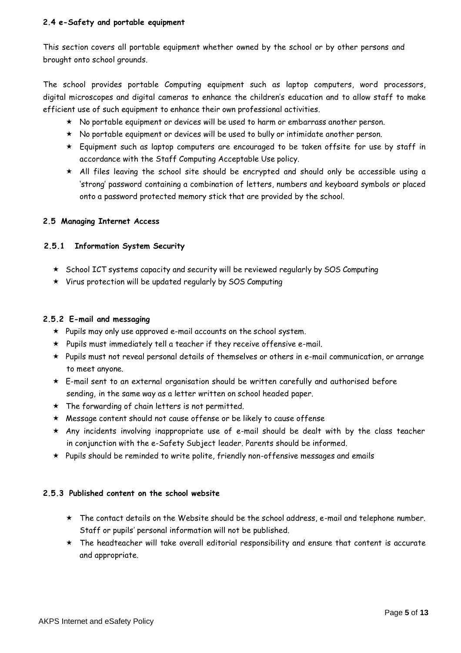# **2.4 e-Safety and portable equipment**

This section covers all portable equipment whether owned by the school or by other persons and brought onto school grounds.

The school provides portable Computing equipment such as laptop computers, word processors, digital microscopes and digital cameras to enhance the children's education and to allow staff to make efficient use of such equipment to enhance their own professional activities.

- $\star$  No portable equipment or devices will be used to harm or embarrass another person.
- $\star$  No portable equipment or devices will be used to bully or intimidate another person.
- $\star$  Equipment such as laptop computers are encouraged to be taken offsite for use by staff in accordance with the Staff Computing Acceptable Use policy.
- $\star$  All files leaving the school site should be encrypted and should only be accessible using a 'strong' password containing a combination of letters, numbers and keyboard symbols or placed onto a password protected memory stick that are provided by the school.

## **2.5 Managing Internet Access**

## **2.5.1 Information System Security**

- $\star$  School ICT systems capacity and security will be reviewed regularly by SOS Computing
- $\star$  Virus protection will be updated regularly by SOS Computing

### **2.5.2 E-mail and messaging**

- $\star$  Pupils may only use approved e-mail accounts on the school system.
- $\star$  Pupils must immediately tell a teacher if they receive offensive e-mail.
- $\star$  Pupils must not reveal personal details of themselves or others in e-mail communication, or arrange to meet anyone.
- $\star$  E-mail sent to an external organisation should be written carefully and authorised before sending, in the same way as a letter written on school headed paper.
- $\star$  The forwarding of chain letters is not permitted.
- \* Message content should not cause offense or be likely to cause offense
- $\star$  Any incidents involving inappropriate use of e-mail should be dealt with by the class teacher in conjunction with the e-Safety Subject leader. Parents should be informed.
- $\star$  Pupils should be reminded to write polite, friendly non-offensive messages and emails

### **2.5.3 Published content on the school website**

- $\star$  The contact details on the Website should be the school address, e-mail and telephone number. Staff or pupils' personal information will not be published.
- $\star$  The headteacher will take overall editorial responsibility and ensure that content is accurate and appropriate.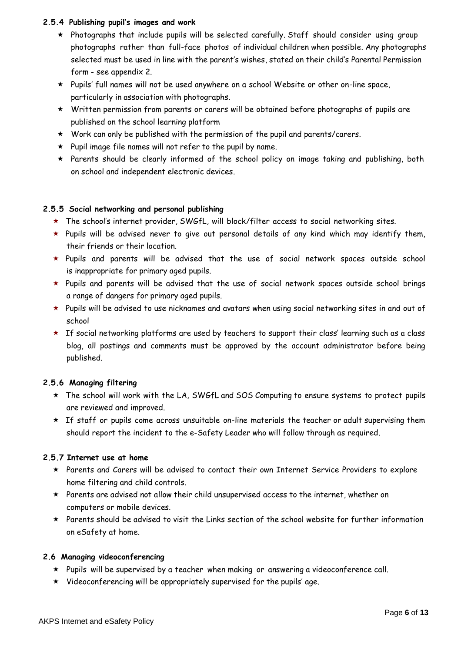# **2.5.4 Publishing pupil's images and work**

- $\star$  Photographs that include pupils will be selected carefully. Staff should consider using group photographs rather than full-face photos of individual children when possible. Any photographs selected must be used in line with the parent's wishes, stated on their child's Parental Permission form - see appendix 2.
- $\star$  Pupils' full names will not be used anywhere on a school Website or other on-line space, particularly in association with photographs.
- Written permission from parents or carers will be obtained before photographs of pupils are published on the school learning platform
- $\star$  Work can only be published with the permission of the pupil and parents/carers.
- $\star$  Pupil image file names will not refer to the pupil by name.
- $\star$  Parents should be clearly informed of the school policy on image taking and publishing, both on school and independent electronic devices.

# **2.5.5 Social networking and personal publishing**

- $\star$  The school's internet provider, SWGfL, will block/filter access to social networking sites.
- $\star$  Pupils will be advised never to give out personal details of any kind which may identify them, their friends or their location.
- $\star$  Pupils and parents will be advised that the use of social network spaces outside school is inappropriate for primary aged pupils.
- $\star$  Pupils and parents will be advised that the use of social network spaces outside school brings a range of dangers for primary aged pupils.
- $\star$  Pupils will be advised to use nicknames and avatars when using social networking sites in and out of school
- $\star$  If social networking platforms are used by teachers to support their class' learning such as a class blog, all postings and comments must be approved by the account administrator before being published.

# **2.5.6 Managing filtering**

- $\star$  The school will work with the LA, SWGfL and SOS Computing to ensure systems to protect pupils are reviewed and improved.
- $\star$  If staff or pupils come across unsuitable on-line materials the teacher or adult supervising them should report the incident to the e-Safety Leader who will follow through as required.

# **2.5.7 Internet use at home**

- $\star$  Parents and Carers will be advised to contact their own Internet Service Providers to explore home filtering and child controls.
- $\star$  Parents are advised not allow their child unsupervised access to the internet, whether on computers or mobile devices.
- $\star$  Parents should be advised to visit the Links section of the school website for further information on eSafety at home.

# **2.6 Managing videoconferencing**

- $\star$  Pupils will be supervised by a teacher when making or answering a videoconference call.
- $\star$  Videoconferencing will be appropriately supervised for the pupils' age.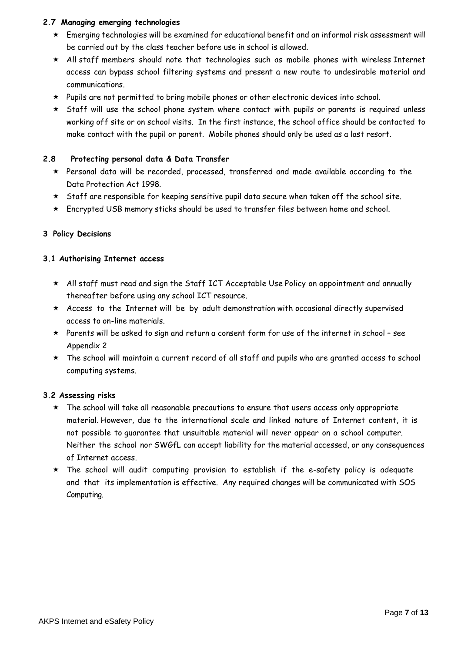# **2.7 Managing emerging technologies**

- $\star$  Emerging technologies will be examined for educational benefit and an informal risk assessment will be carried out by the class teacher before use in school is allowed.
- $\star$  All staff members should note that technologies such as mobile phones with wireless Internet access can bypass school filtering systems and present a new route to undesirable material and communications.
- $\star$  Pupils are not permitted to bring mobile phones or other electronic devices into school.
- $\star$  Staff will use the school phone system where contact with pupils or parents is required unless working off site or on school visits. In the first instance, the school office should be contacted to make contact with the pupil or parent. Mobile phones should only be used as a last resort.

# **2.8 Protecting personal data & Data Transfer**

- $\star$  Personal data will be recorded, processed, transferred and made available according to the Data Protection Act 1998.
- $\star$  Staff are responsible for keeping sensitive pupil data secure when taken off the school site.
- \* Encrypted USB memory sticks should be used to transfer files between home and school.

## **3 Policy Decisions**

## **3.1 Authorising Internet access**

- $\star$  All staff must read and sign the Staff ICT Acceptable Use Policy on appointment and annually thereafter before using any school ICT resource.
- $\star$  Access to the Internet will be by adult demonstration with occasional directly supervised access to on-line materials.
- $\star$  Parents will be asked to sign and return a consent form for use of the internet in school see Appendix 2
- \* The school will maintain a current record of all staff and pupils who are granted access to school computing systems.

### **3.2 Assessing risks**

- $\star$  The school will take all reasonable precautions to ensure that users access only appropriate material. However, due to the international scale and linked nature of Internet content, it is not possible to guarantee that unsuitable material will never appear on a school computer. Neither the school nor SWGfL can accept liability for the material accessed, or any consequences of Internet access.
- $\star$  The school will audit computing provision to establish if the e-safety policy is adequate and that its implementation is effective. Any required changes will be communicated with SOS Computing.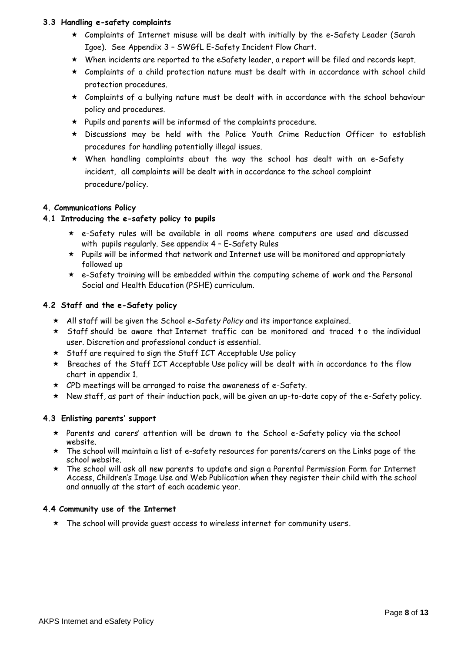# **3.3 Handling e-safety complaints**

- $\star$  Complaints of Internet misuse will be dealt with initially by the e-Safety Leader (Sarah Igoe). See Appendix 3 – SWGfL E-Safety Incident Flow Chart.
- $\star$  When incidents are reported to the eSafety leader, a report will be filed and records kept.
- \* Complaints of a child protection nature must be dealt with in accordance with school child protection procedures.
- $\star$  Complaints of a bullying nature must be dealt with in accordance with the school behaviour policy and procedures.
- $\star$  Pupils and parents will be informed of the complaints procedure.
- Discussions may be held with the Police Youth Crime Reduction Officer to establish procedures for handling potentially illegal issues.
- $\star$  When handling complaints about the way the school has dealt with an e-Safety incident, all complaints will be dealt with in accordance to the school complaint procedure/policy.

## **4. Communications Policy**

## **4.1 Introducing the e-safety policy to pupils**

- $\star$  e-Safety rules will be available in all rooms where computers are used and discussed with pupils regularly. See appendix 4 – E-Safety Rules
- $\star$  Pupils will be informed that network and Internet use will be monitored and appropriately followed up
- $\star$  e-Safety training will be embedded within the computing scheme of work and the Personal Social and Health Education (PSHE) curriculum.

## **4.2 Staff and the e-Safety policy**

- All staff will be given the School *e-Safety Policy* and its importance explained.
- $\star$  Staff should be aware that Internet traffic can be monitored and traced to the individual user. Discretion and professional conduct is essential.
- $\star$  Staff are required to sign the Staff ICT Acceptable Use policy
- $\star$  Breaches of the Staff ICT Acceptable Use policy will be dealt with in accordance to the flow chart in appendix 1.
- $\star$  CPD meetings will be arranged to raise the awareness of e-Safety.
- $\star$  New staff, as part of their induction pack, will be given an up-to-date copy of the e-Safety policy.

### **4.3 Enlisting parents' support**

- $\star$  Parents and carers' attention will be drawn to the School e-Safety policy via the school website.
- $\star$  The school will maintain a list of e-safety resources for parents/carers on the Links page of the school website.
- \* The school will ask all new parents to update and sign a Parental Permission Form for Internet Access, Children's Image Use and Web Publication when they register their child with the school and annually at the start of each academic year.

### **4.4 Community use of the Internet**

 $\star$  The school will provide quest access to wireless internet for community users.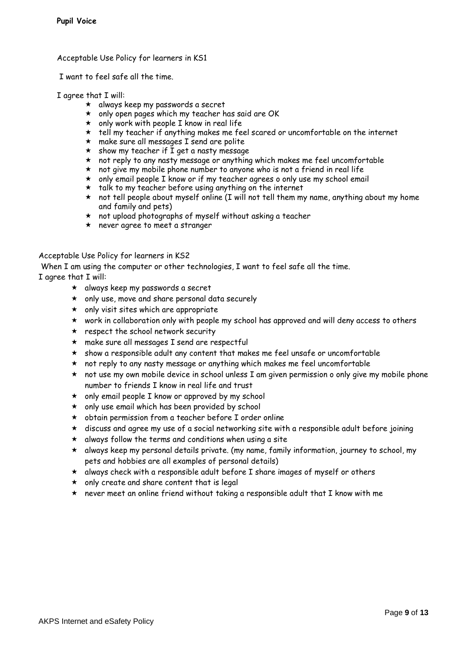Acceptable Use Policy for learners in KS1

I want to feel safe all the time.

I agree that I will:

- $\star$  always keep my passwords a secret
- $\star$  only open pages which my teacher has said are OK
- $\star$  only work with people I know in real life
- $\star$  tell my teacher if anything makes me feel scared or uncomfortable on the internet
- $\star$  make sure all messages I send are polite
- $\star$  show my teacher if I get a nasty message
- not reply to any nasty message or anything which makes me feel uncomfortable
- $\star$  not give my mobile phone number to anyone who is not a friend in real life
- \* only email people I know or if my teacher agrees o only use my school email
- $\star$  talk to my teacher before using anything on the internet
- $\star$  not tell people about myself online (I will not tell them my name, anything about my home and family and pets)
- $\star$  not upload photographs of myself without asking a teacher
- \* never agree to meet a stranger

#### Acceptable Use Policy for learners in KS2

When I am using the computer or other technologies, I want to feel safe all the time. I agree that I will:

- $\star$  always keep my passwords a secret
- $\star$  only use, move and share personal data securely
- $\star$  only visit sites which are appropriate
- $\star$  work in collaboration only with people my school has approved and will deny access to others
- $\star$  respect the school network security
- $\star$  make sure all messages I send are respectful
- $\star$  show a responsible adult any content that makes me feel unsafe or uncomfortable
- $\star$  not reply to any nasty message or anything which makes me feel uncomfortable
- $\star$  not use my own mobile device in school unless I am given permission o only give my mobile phone number to friends I know in real life and trust
- $\star$  only email people I know or approved by my school
- $\star$  only use email which has been provided by school
- $\star$  obtain permission from a teacher before I order online
- $\star$  discuss and agree my use of a social networking site with a responsible adult before joining
- $\star$  always follow the terms and conditions when using a site
- $\star$  always keep my personal details private. (my name, family information, journey to school, my pets and hobbies are all examples of personal details)
- $\star$  always check with a responsible adult before I share images of myself or others
- $\star$  only create and share content that is legal
- $\star$  never meet an online friend without taking a responsible adult that I know with me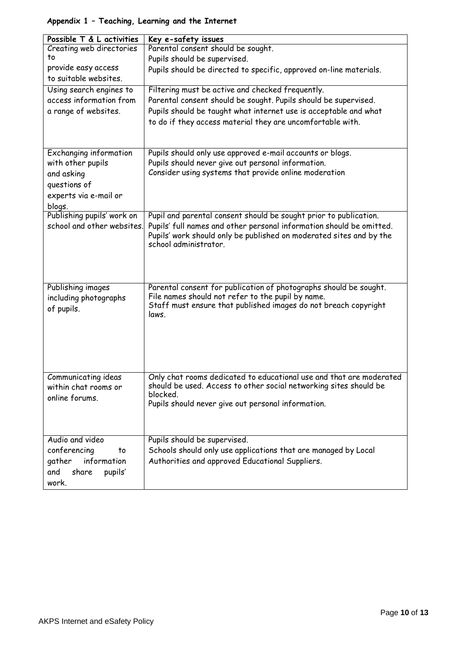| Possible T & L activities     | Key e-safety issues                                                                                                                      |
|-------------------------------|------------------------------------------------------------------------------------------------------------------------------------------|
| Creating web directories      | Parental consent should be sought.                                                                                                       |
| to                            | Pupils should be supervised.                                                                                                             |
| provide easy access           | Pupils should be directed to specific, approved on-line materials.                                                                       |
| to suitable websites.         |                                                                                                                                          |
| Using search engines to       | Filtering must be active and checked frequently.                                                                                         |
| access information from       | Parental consent should be sought. Pupils should be supervised.                                                                          |
| a range of websites.          | Pupils should be taught what internet use is acceptable and what                                                                         |
|                               | to do if they access material they are uncomfortable with.                                                                               |
|                               |                                                                                                                                          |
|                               |                                                                                                                                          |
| <b>Exchanging information</b> | Pupils should only use approved e-mail accounts or blogs.                                                                                |
| with other pupils             | Pupils should never give out personal information.                                                                                       |
| and asking                    | Consider using systems that provide online moderation                                                                                    |
| questions of                  |                                                                                                                                          |
| experts via e-mail or         |                                                                                                                                          |
| blogs.                        |                                                                                                                                          |
| Publishing pupils' work on    | Pupil and parental consent should be sought prior to publication.                                                                        |
| school and other websites.    | Pupils' full names and other personal information should be omitted.                                                                     |
|                               | Pupils' work should only be published on moderated sites and by the                                                                      |
|                               | school administrator.                                                                                                                    |
|                               |                                                                                                                                          |
|                               |                                                                                                                                          |
|                               |                                                                                                                                          |
| Publishing images             | Parental consent for publication of photographs should be sought.                                                                        |
| including photographs         | File names should not refer to the pupil by name.                                                                                        |
| of pupils.                    | Staff must ensure that published images do not breach copyright                                                                          |
|                               | laws.                                                                                                                                    |
|                               |                                                                                                                                          |
|                               |                                                                                                                                          |
|                               |                                                                                                                                          |
|                               |                                                                                                                                          |
|                               |                                                                                                                                          |
| Communicating ideas           | Only chat rooms dedicated to educational use and that are moderated<br>should be used. Access to other social networking sites should be |
| within chat rooms or          | blocked.                                                                                                                                 |
| online forums.                | Pupils should never give out personal information.                                                                                       |
|                               |                                                                                                                                          |
|                               |                                                                                                                                          |
|                               |                                                                                                                                          |
| Audio and video               | Pupils should be supervised.                                                                                                             |
| conferencing<br>to            | Schools should only use applications that are managed by Local                                                                           |
| information<br>gather         | Authorities and approved Educational Suppliers.                                                                                          |
| share<br>and<br>pupils'       |                                                                                                                                          |
| work.                         |                                                                                                                                          |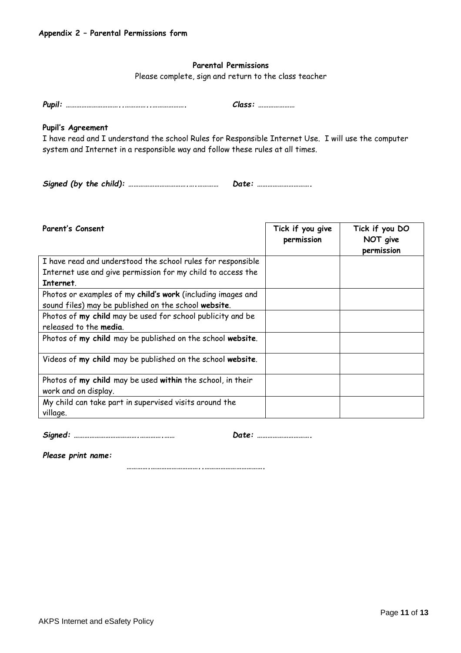# **Parental Permissions**

Please complete, sign and return to the class teacher

| Pupil: |  | Class: |  |
|--------|--|--------|--|
|--------|--|--------|--|

# **Pupil's Agreement**

I have read and I understand the school Rules for Responsible Internet Use. I will use the computer system and Internet in a responsible way and follow these rules at all times.

*Signed (by the child): …………………………….….………… Date: ………………………….*

| <b>Parent's Consent</b>                                                            | Tick if you give<br>permission | Tick if you DO<br>NOT give<br>permission |
|------------------------------------------------------------------------------------|--------------------------------|------------------------------------------|
| I have read and understood the school rules for responsible                        |                                |                                          |
| Internet use and give permission for my child to access the                        |                                |                                          |
| Internet.                                                                          |                                |                                          |
| Photos or examples of my child's work (including images and                        |                                |                                          |
| sound files) may be published on the school website.                               |                                |                                          |
| Photos of my child may be used for school publicity and be                         |                                |                                          |
| released to the media.                                                             |                                |                                          |
| Photos of my child may be published on the school website.                         |                                |                                          |
| Videos of my child may be published on the school website.                         |                                |                                          |
| Photos of my child may be used within the school, in their<br>work and on display. |                                |                                          |
| My child can take part in supervised visits around the<br>village.                 |                                |                                          |

*Signed: ……………………………….………….…… Date: ………………………….*

*Please print name:* 

 *………….………………………..…………………………….*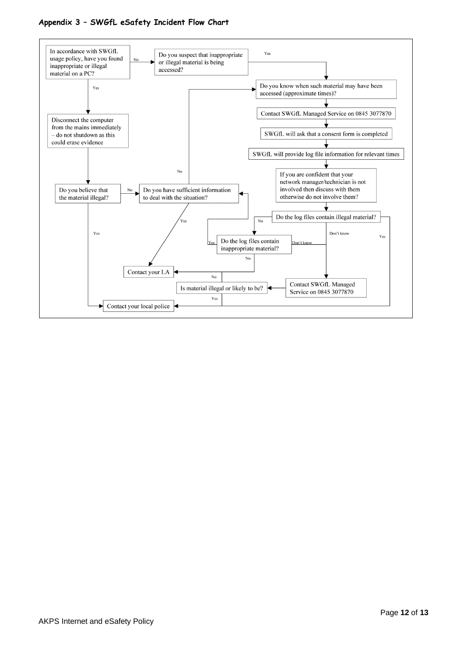## **Appendix 3 – SWGfL eSafety Incident Flow Chart**